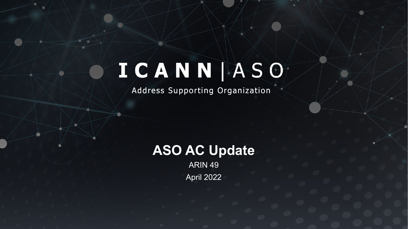# ICANN ASO

Address Supporting Organization

### **ASO AC Update**

ARIN 49 April 2022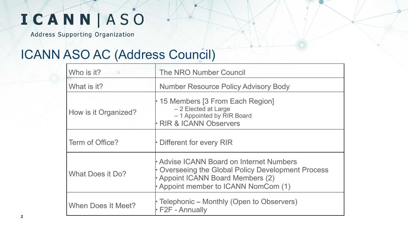Address Supporting Organization

#### ICANN ASO AC (Address Council)

| Who is it?           | The NRO Number Council                                                                                                                                              |  |
|----------------------|---------------------------------------------------------------------------------------------------------------------------------------------------------------------|--|
| What is it?          | <b>Number Resource Policy Advisory Body</b>                                                                                                                         |  |
| How is it Organized? | • 15 Members [3 From Each Region]<br>- 2 Elected at Large<br>- 1 Appointed by RIR Board<br><b>RIR &amp; ICANN Observers</b>                                         |  |
| Term of Office?      | Different for every RIR                                                                                                                                             |  |
| What Does it Do?     | Advise ICANN Board on Internet Numbers<br>Overseeing the Global Policy Development Process<br>Appoint ICANN Board Members (2)<br>Appoint member to ICANN NomCom (1) |  |
| When Does It Meet?   | Telephonic – Monthly (Open to Observers)<br>$\cdot$ F2F - Annually                                                                                                  |  |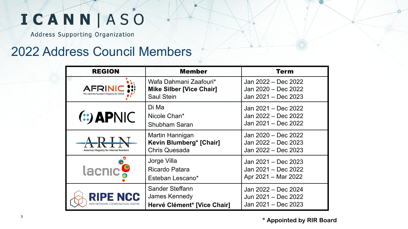Address Supporting Organization

#### 2022 Address Council Members

| <b>REGION</b>                                         | Member                                                                  | Term                                                              |
|-------------------------------------------------------|-------------------------------------------------------------------------|-------------------------------------------------------------------|
| <b>AFRIN</b>                                          | Wafa Dahmani Zaafouri*<br><b>Mike Silber [Vice Chair]</b><br>Saul Stein | Jan 2022 - Dec 2022<br>Jan 2020 - Dec 2022<br>Jan 2021 - Dec 2023 |
| $(:$ APNIC                                            | Di Ma<br>Nicole Chan*<br>Shubham Saran                                  | Jan 2021 - Dec 2022<br>Jan 2022 - Dec 2022<br>Jan 2021 - Dec 2022 |
| $A$ $R$ $N$<br>American Registry for Internet Numbers | Martin Hannigan<br>Kevin Blumberg* [Chair]<br>Chris Quesada             | Jan 2020 - Dec 2022<br>Jan 2022 - Dec 2023<br>Jan 2022 - Dec 2023 |
| lacnic <sup>o</sup>                                   | Jorge Villa<br>Ricardo Patara<br>Esteban Lescano*                       | Jan 2021 - Dec 2023<br>Jan 2021 - Dec 2022<br>Apr 2021 - Mar 2022 |
| <b>RIPE NCC</b>                                       | Sander Steffann<br>James Kennedy<br>Hervé Clément* [Vice Chair]         | Jan 2022 - Dec 2024<br>Jun 2021 - Dec 2022<br>Jan 2021 - Dec 2023 |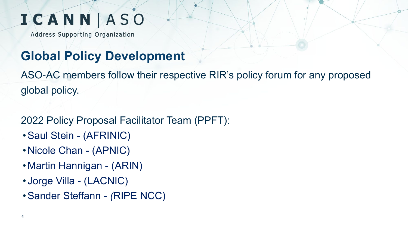Address Supporting Organization

### **Global Policy Development**

ASO-AC members follow their respective RIR's policy forum for any proposed global policy.

#### 2022 Policy Proposal Facilitator Team (PPFT):

- •Saul Stein (AFRINIC)
- •Nicole Chan (APNIC)
- •Martin Hannigan (ARIN)
- Jorge Villa (LACNIC)
- •Sander Steffann *(*RIPE NCC)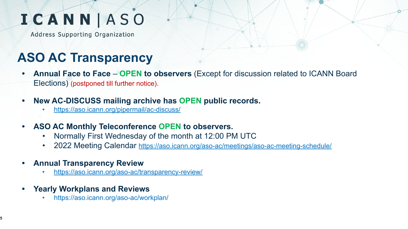Address Supporting Organization

### **ASO AC Transparency**

- **• Annual Face to Face OPEN to observers** (Except for discussion related to ICANN Board Elections) (postponed till further notice).
- **• New AC-DISCUSS mailing archive has OPEN public records.**
	- <https://aso.icann.org/pipermail/ac-discuss/>
- **• ASO AC Monthly Teleconference OPEN to observers.**
	- Normally First Wednesday of the month at 12:00 PM UTC
	- 2022 Meeting Calendar <https://aso.icann.org/aso-ac/meetings/aso-ac-meeting-schedule/>
- **• Annual Transparency Review**
	- <https://aso.icann.org/aso-ac/transparency-review/>
- **• Yearly Workplans and Reviews**
	- https://aso.icann.org/aso-ac/workplan/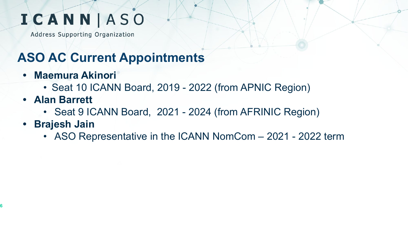Address Supporting Organization

### **ASO AC Current Appointments**

- **• Maemura Akinori** 
	- Seat 10 ICANN Board, 2019 2022 (from APNIC Region)
- **• Alan Barrett**
	- Seat 9 ICANN Board, 2021 2024 (from AFRINIC Region)
- **• Brajesh Jain**
	- ASO Representative in the ICANN NomCom 2021 2022 term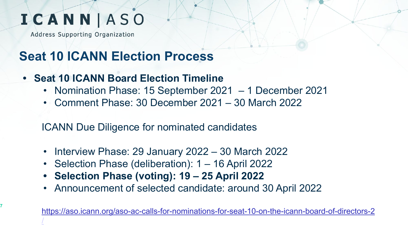Address Supporting Organization

**7**

#### **Seat 10 ICANN Election Process**

- **• Seat 10 ICANN Board Election Timeline** 
	- Nomination Phase: 15 September 2021 1 December 2021
	- Comment Phase: 30 December 2021 30 March 2022

ICANN Due Diligence for nominated candidates

- Interview Phase: 29 January 2022 30 March 2022
- Selection Phase (deliberation): 1 16 April 2022
- **• Selection Phase (voting): 19 25 April 2022**
- Announcement of selected candidate: around 30 April 2022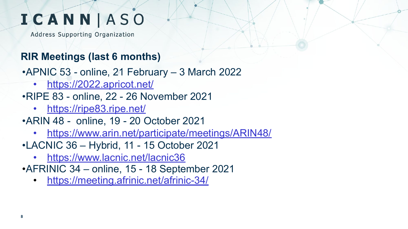Address Supporting Organization

#### **RIR Meetings (last 6 months)**

•APNIC 53 - online, 21 February – 3 March 2022

• <https://2022.apricot.net/>

•RIPE 83 - online, 22 - 26 November 2021

• <https://ripe83.ripe.net/>

•ARIN 48 - online, 19 - 20 October 2021

- <https://www.arin.net/participate/meetings/ARIN48/>
- •LACNIC 36 Hybrid, 11 15 October 2021
	- <https://www.lacnic.net/lacnic36>
- •AFRINIC 34 online, 15 18 September 2021
	- <https://meeting.afrinic.net/afrinic-34/>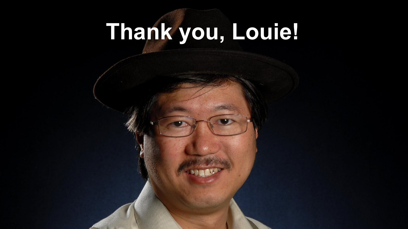# **Thank you, Louie!**